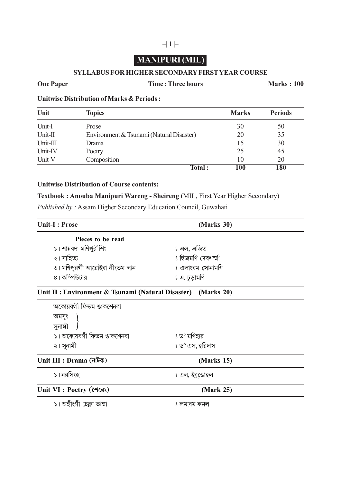# **MANIPURI (MIL)**

 $-|1|$ 

#### **SYLLABUS FOR HIGHER SECONDARY FIRST YEAR COURSE**

#### **One Paper Time : Three hours Marks : 100**

**Unitwise Distribution of Marks & Periods :**

| Unit     | <b>Topics</b>                            | <b>Marks</b> | <b>Periods</b> |
|----------|------------------------------------------|--------------|----------------|
| Unit-I   | Prose                                    | 30           | 50             |
| Unit-II  | Environment & Tsunami (Natural Disaster) | 20           | 35             |
| Unit-III | Drama                                    | 15           | 30             |
| Unit-IV  | Poetry                                   | 25           | 45             |
| Unit-V   | Composition                              | 10           | 20             |
|          | Total:                                   | 100          | 180            |

#### **Unitwise Distribution of Course contents:**

**Textbook : Anouba Manipuri Wareng - Sheireng** (MIL, First Year Higher Secondary)

*Published by :* Assam Higher Secondary Education Council, Guwahati

| <b>Unit-I: Prose</b>                                          | (Marks 30)          |  |
|---------------------------------------------------------------|---------------------|--|
| Pieces to be read                                             |                     |  |
| ১। শান্নবদা মণিপুরীশিং                                        | ঃ এল, এজিত          |  |
| ২। সাহিত্য                                                    | ঃ দ্বিজমণি দেবশর্মা |  |
| ৩। মণিপুরগী আরোইবা নীংতম লান                                  | ঃ এলাংবম সোনামণি    |  |
| ৪। কম্পিউটার                                                  | ঃ এ. চূড়ামণি       |  |
| Unit II : Environment & Tsunami (Natural Disaster) (Marks 20) |                     |  |
| অকোয়বগী ফিভম ঙাকশেনবা                                        |                     |  |
|                                                               |                     |  |
| অমসুং<br>সুনামী                                               |                     |  |
| ১। অকোয়বগী ফিভম ঙাকশেনবা                                     | ঃ ড° মণিহার         |  |
| ২। সুনামী                                                     | ঃ ড° এস, হরিদাস     |  |

## Unit III : Drama (নাটক) (Marks 15)

। নরসিংহ <sup>প</sup>ালক কর্ম করে করে করে করে যা নাইবডোহল

### Unit VI : Poetry (শৈরেং) **(Mark 25)**

1º '˝√œ—·œ Œ‰¬flv¡± Ó¬±•ß± – ˘˜±¬ı˜ fl¡˜˘